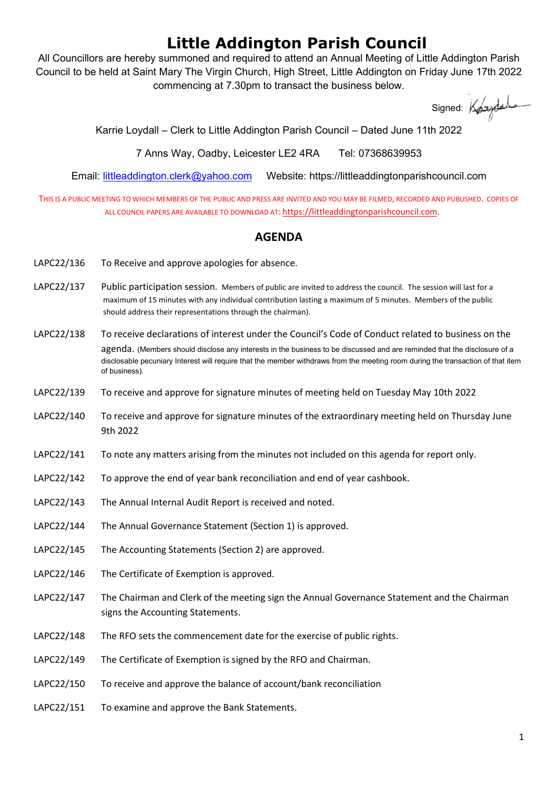## Little Addington Parish Council

All Councillors are hereby summoned and required to attend an Annual Meeting of Little Addington Parish Council to be held at Saint Mary The Virgin Church, High Street, Little Addington on Friday June 17th 2022 commencing at 7.30pm to transact the business below.

Signed: Kogydads

Karrie Loydall – Clerk to Little Addington Parish Council – Dated June 11th 2022

7 Anns Way, Oadby, Leicester LE2 4RA Tel: 07368639953

Email: littleaddington.clerk@yahoo.com Website: https://littleaddingtonparishcouncil.com

THIS IS A PUBLIC MEETING TO WHICH MEMBERS OF THE PUBLIC AND PRESS ARE INVITED AND YOU MAY BE FILMED, RECORDED AND PUBLISHED. COPIES OF ALL COUNCIL PAPERS ARE AVAILABLE TO DOWNLOAD AT: https://littleaddingtonparishcouncil.com.

## AGENDA

- LAPC22/136 To Receive and approve apologies for absence.
- LAPC22/137 Public participation session. Members of public are invited to address the council. The session will last for a maximum of 15 minutes with any individual contribution lasting a maximum of 5 minutes. Members of the public should address their representations through the chairman).
- LAPC22/138 To receive declarations of interest under the Council's Code of Conduct related to business on the agenda. (Members should disclose any interests in the business to be discussed and are reminded that the disclosure of a disclosable pecuniary Interest will require that the member withdraws from the meeting room during the transaction of that item of business).
- LAPC22/139 To receive and approve for signature minutes of meeting held on Tuesday May 10th 2022
- LAPC22/140 To receive and approve for signature minutes of the extraordinary meeting held on Thursday June 9th 2022
- LAPC22/141 To note any matters arising from the minutes not included on this agenda for report only.
- LAPC22/142 To approve the end of year bank reconciliation and end of year cashbook.
- LAPC22/143 The Annual Internal Audit Report is received and noted.
- LAPC22/144 The Annual Governance Statement (Section 1) is approved.
- LAPC22/145 The Accounting Statements (Section 2) are approved.
- LAPC22/146 The Certificate of Exemption is approved.
- LAPC22/147 The Chairman and Clerk of the meeting sign the Annual Governance Statement and the Chairman signs the Accounting Statements.
- LAPC22/148 The RFO sets the commencement date for the exercise of public rights.
- LAPC22/149 The Certificate of Exemption is signed by the RFO and Chairman.
- LAPC22/150 To receive and approve the balance of account/bank reconciliation
- LAPC22/151 To examine and approve the Bank Statements.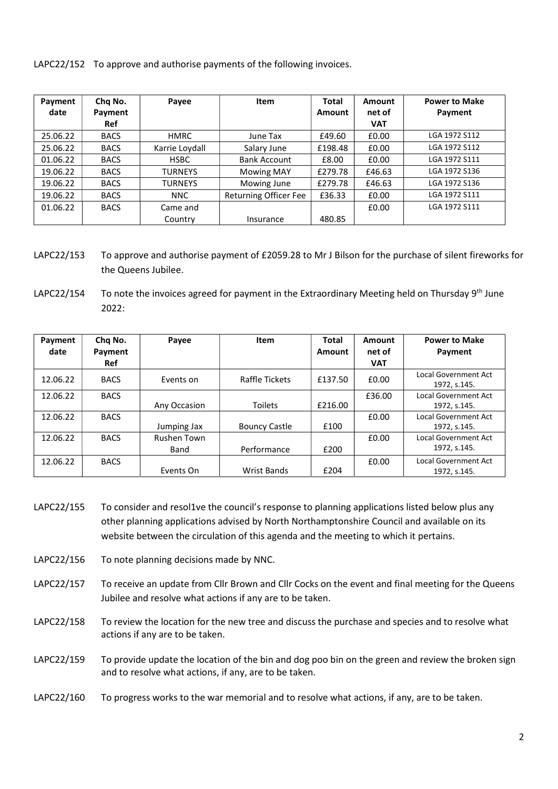LAPC22/152 To approve and authorise payments of the following invoices.

| Payment<br>date | Chq No.     | Payee          | Item                         | <b>Total</b><br>Amount | Amount<br>net of | <b>Power to Make</b> |
|-----------------|-------------|----------------|------------------------------|------------------------|------------------|----------------------|
|                 | Payment     |                |                              |                        |                  | Payment              |
|                 | Ref         |                |                              |                        | <b>VAT</b>       |                      |
| 25.06.22        | <b>BACS</b> | <b>HMRC</b>    | June Tax                     | £49.60                 | £0.00            | LGA 1972 S112        |
| 25.06.22        | <b>BACS</b> | Karrie Loydall | Salary June                  | £198.48                | £0.00            | LGA 1972 S112        |
| 01.06.22        | <b>BACS</b> | <b>HSBC</b>    | <b>Bank Account</b>          | £8.00                  | £0.00            | LGA 1972 S111        |
| 19.06.22        | <b>BACS</b> | <b>TURNEYS</b> | <b>Mowing MAY</b>            | £279.78                | £46.63           | LGA 1972 S136        |
| 19.06.22        | <b>BACS</b> | <b>TURNEYS</b> | Mowing June                  | £279.78                | £46.63           | LGA 1972 S136        |
| 19.06.22        | <b>BACS</b> | <b>NNC</b>     | <b>Returning Officer Fee</b> | £36.33                 | £0.00            | LGA 1972 S111        |
| 01.06.22        | <b>BACS</b> | Came and       |                              |                        | £0.00            | LGA 1972 S111        |
|                 |             | Country        | Insurance                    | 480.85                 |                  |                      |

LAPC22/153 To approve and authorise payment of £2059.28 to Mr J Bilson for the purchase of silent fireworks for the Queens Jubilee.

LAPC22/154 To note the invoices agreed for payment in the Extraordinary Meeting held on Thursday 9<sup>th</sup> June 2022:

| Payment<br>date | Cha No.<br>Payment | Payee                      | Item                 | <b>Total</b><br>Amount | Amount<br>net of | <b>Power to Make</b><br>Payment             |
|-----------------|--------------------|----------------------------|----------------------|------------------------|------------------|---------------------------------------------|
|                 | Ref                |                            |                      |                        | <b>VAT</b>       |                                             |
| 12.06.22        | <b>BACS</b>        | Events on                  | Raffle Tickets       | £137.50                | £0.00            | Local Government Act<br>1972, s.145.        |
| 12.06.22        | <b>BACS</b>        | Any Occasion               | <b>Toilets</b>       | £216.00                | £36.00           | <b>Local Government Act</b><br>1972, s.145. |
| 12.06.22        | <b>BACS</b>        | Jumping Jax                | <b>Bouncy Castle</b> | £100                   | £0.00            | <b>Local Government Act</b><br>1972, s.145. |
| 12.06.22        | <b>BACS</b>        | <b>Rushen Town</b><br>Band | Performance          | £200                   | £0.00            | Local Government Act<br>1972, s.145.        |
| 12.06.22        | <b>BACS</b>        | Events On                  | <b>Wrist Bands</b>   | £204                   | £0.00            | Local Government Act<br>1972. s.145.        |

- LAPC22/155 To consider and resol1ve the council's response to planning applications listed below plus any other planning applications advised by North Northamptonshire Council and available on its website between the circulation of this agenda and the meeting to which it pertains.
- LAPC22/156 To note planning decisions made by NNC.
- LAPC22/157 To receive an update from Cllr Brown and Cllr Cocks on the event and final meeting for the Queens Jubilee and resolve what actions if any are to be taken.
- LAPC22/158 To review the location for the new tree and discuss the purchase and species and to resolve what actions if any are to be taken.
- LAPC22/159 To provide update the location of the bin and dog poo bin on the green and review the broken sign and to resolve what actions, if any, are to be taken.
- LAPC22/160 To progress works to the war memorial and to resolve what actions, if any, are to be taken.